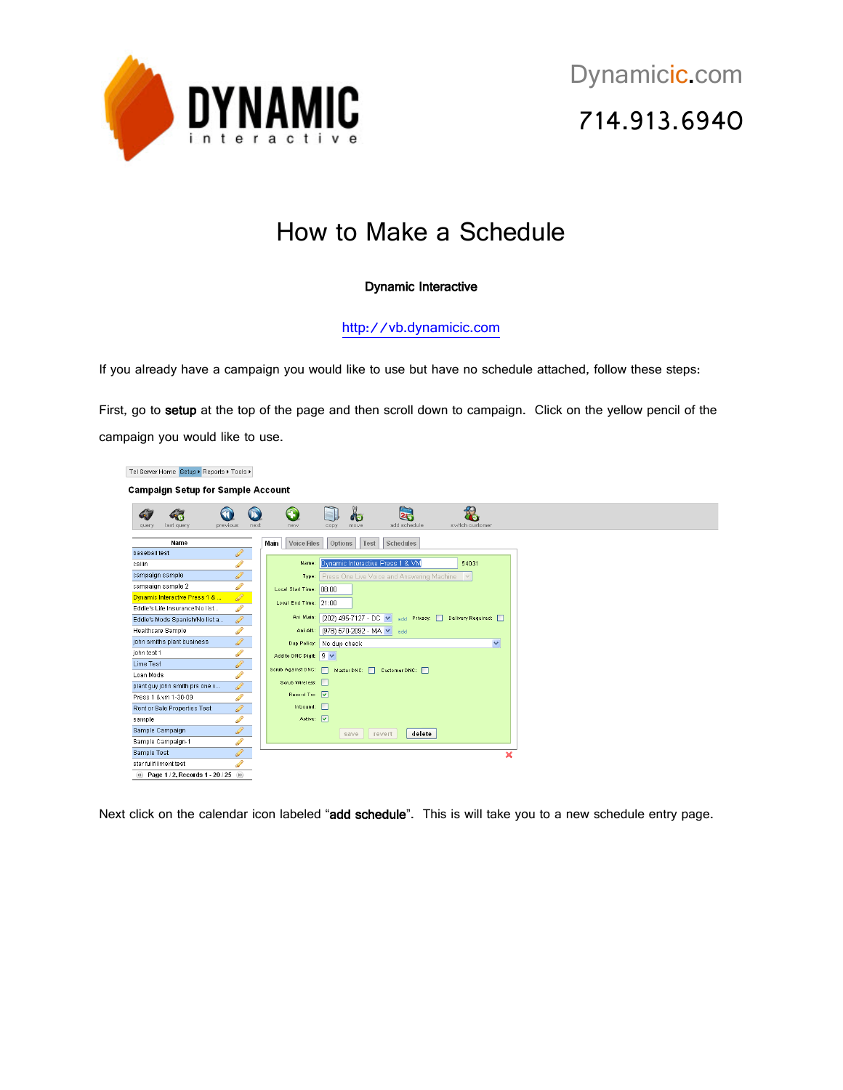

## How to Make a Schedule

## Dynamic Interactive

[http://vb.dynamicic.com](http://vb.dynamicic.com/) 

If you already have a campaign you would like to use but have no schedule attached, follow these steps:

First, go to setup at the top of the page and then scroll down to campaign. Click on the yellow pencil of the campaign you would like to use.

Tel Server Home Setup ▶ Reports ▶ Tools ▶ **Campaign Setup for Sample Account**  $\bigcirc$  $\mathbf 0$  $\mathbf{\Theta}$  $\Box$  $\delta$ 28  $\mathcal{R}_{\text{c}}$ 4 63 Main Voice Files Options Test Schedules Name baseball test Name: Dynamic Interactive Press 1 & VM 54031  $\overline{\text{callin}}$ campaign sample Type: Press One Live Voice and Answering Machine V campaign sample 2 Local Start Time: 08:00 Dynamic Interactive Press 1 & Local End Time: 21:00 Eddie's Life Insurance/No list. Eddie's Mods Spanish/No list a. Ani Main: (202) 495-7127 - DC V add Privacy: Delivery Required: Ani Alt.: (978) 570-2092 - MA v add Healthcare Sample john smiths plant business Dup Policy: No dup check  $\ddot{\phantom{0}}$ iohn test 1 Add to DNC Digit:  $\boxed{9 \times}$ **Lime Test** Scrub Against DNC: Naster DNC: Customer DNC: **Loan Mods** Scrub Wireless: plant guy john smith prs one v Record Tixe  $\boxed{\vee}$ Press 1.8 vm 1-30-09 Inbound: 0 Rent or Sale Properties Test sample Active:  $\boxed{\vee}$ Sample Campaign save revert delete Sample Campaign-1 Sample Test  $\overline{\mathbf{x}}$ star fullfillment test (a) Page 1 / 2, Records 1 - 20 / 25 (a)

Next click on the calendar icon labeled "add schedule". This is will take you to a new schedule entry page.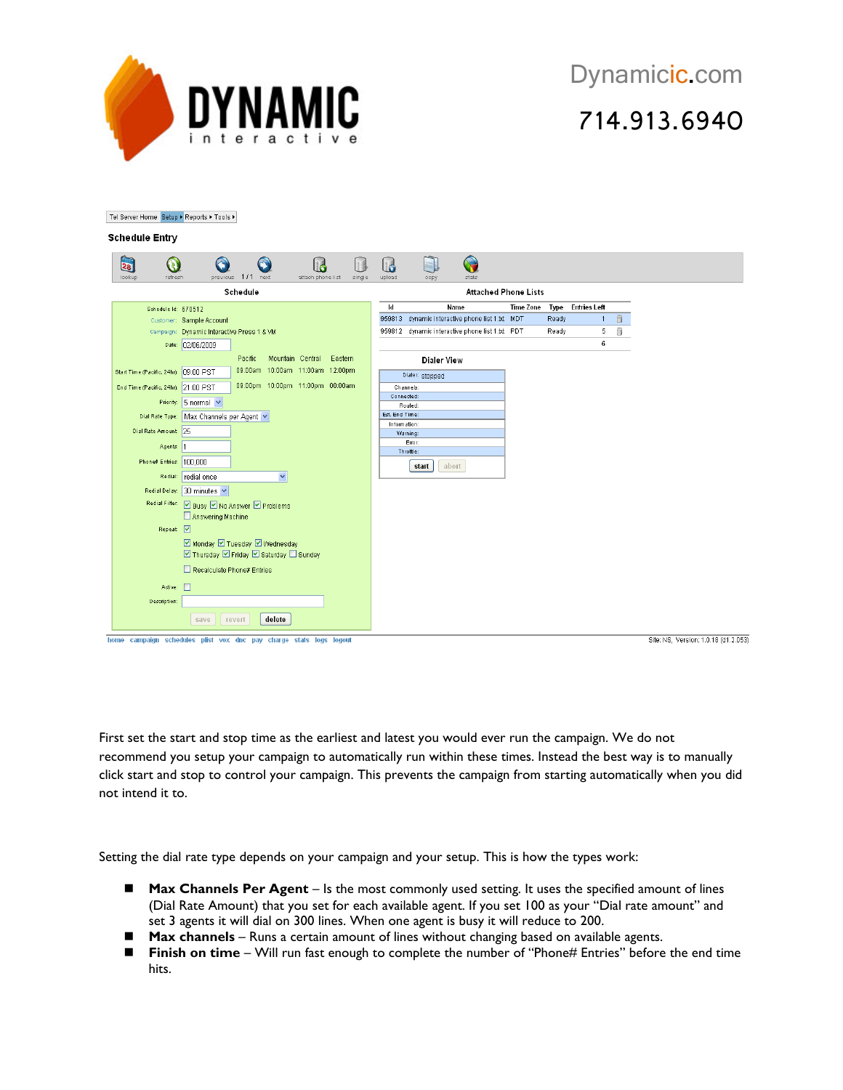

Tel Server Home Setup ▶ Reports ▶ Tools ▶

| $\mathbf{z_8}$<br>lookup | a<br>refresh                          | A<br>previous                                | 1/1     | A<br>next                       | <b>Id</b><br>attach phone list |         | single | l d<br>upload                  | a,<br>copy         | G<br>stats                                      |                  |             |                     |   |  |  |
|--------------------------|---------------------------------------|----------------------------------------------|---------|---------------------------------|--------------------------------|---------|--------|--------------------------------|--------------------|-------------------------------------------------|------------------|-------------|---------------------|---|--|--|
| Schedule                 |                                       |                                              |         |                                 |                                |         |        | <b>Attached Phone Lists</b>    |                    |                                                 |                  |             |                     |   |  |  |
|                          | Schedule Id: 670512                   |                                              |         |                                 |                                |         |        | Id                             |                    | Name                                            | <b>Time Zone</b> | <b>Type</b> | <b>Entries Left</b> |   |  |  |
|                          |                                       | Customer: Sample Account                     |         |                                 |                                |         |        |                                |                    | 959813 dynamic interactive phone list 1.bt MDT  |                  | Ready       | $\overline{1}$      | 6 |  |  |
|                          |                                       | Campaign: Dynamic Interactive Press 1 & VM   |         |                                 |                                |         |        |                                |                    | 959812 dynamic interactive phone list 1.txt PDT |                  | Ready       | 5                   | ã |  |  |
|                          |                                       | Date: 02/06/2009                             |         |                                 |                                |         |        |                                |                    |                                                 |                  |             | 6                   |   |  |  |
|                          |                                       |                                              | Pacific | Mountain Central                |                                | Eastern |        |                                | <b>Dialer View</b> |                                                 |                  |             |                     |   |  |  |
|                          | Start Time (Pacific, 24hr): 09:00 PST |                                              |         | 09:00am 10:00am 11:00am 12:00pm |                                |         |        |                                | Dialer: stopped    |                                                 |                  |             |                     |   |  |  |
|                          | End Time (Pacific, 24hr): 21:00 PST   |                                              |         | 09:00pm 10:00pm 11:00pm 00:00am |                                |         |        |                                | Channels:          |                                                 |                  |             |                     |   |  |  |
|                          |                                       |                                              |         |                                 |                                |         |        | Connected:                     |                    |                                                 |                  |             |                     |   |  |  |
|                          |                                       | Priority: 5 normal v                         |         |                                 |                                |         |        |                                | Routed:            |                                                 |                  |             |                     |   |  |  |
|                          |                                       | Dial Rate Type:   Max Channels per Agent     |         |                                 |                                |         |        | Est. End Time:<br>Information: |                    |                                                 |                  |             |                     |   |  |  |
|                          | Dial Rate Amount: 25                  |                                              |         |                                 |                                |         |        |                                | Warning:           |                                                 |                  |             |                     |   |  |  |
|                          | Agents: 1                             |                                              |         |                                 |                                |         |        |                                | Error:             |                                                 |                  |             |                     |   |  |  |
|                          | Phone# Entries: 100.000               |                                              |         |                                 |                                |         |        |                                | Throttle:          |                                                 |                  |             |                     |   |  |  |
|                          |                                       |                                              |         |                                 |                                |         |        |                                | start              | abort                                           |                  |             |                     |   |  |  |
|                          | Redial:                               | redial once                                  |         | $\checkmark$                    |                                |         |        |                                |                    |                                                 |                  |             |                     |   |  |  |
|                          |                                       | Redial Delay: 30 minutes V                   |         |                                 |                                |         |        |                                |                    |                                                 |                  |             |                     |   |  |  |
|                          |                                       | Redial Filter: 2 Busy 2 No Answer 2 Problems |         |                                 |                                |         |        |                                |                    |                                                 |                  |             |                     |   |  |  |
|                          |                                       | Answering Machine                            |         |                                 |                                |         |        |                                |                    |                                                 |                  |             |                     |   |  |  |
|                          | Repeat: V                             |                                              |         |                                 |                                |         |        |                                |                    |                                                 |                  |             |                     |   |  |  |
|                          |                                       | ■ Monday ■ Tuesday ■ Wednesday               |         |                                 |                                |         |        |                                |                    |                                                 |                  |             |                     |   |  |  |
|                          |                                       | ☑ Thursday ☑ Friday ☑ Saturday □ Sunday      |         |                                 |                                |         |        |                                |                    |                                                 |                  |             |                     |   |  |  |
|                          |                                       | Recalculate Phone# Entries                   |         |                                 |                                |         |        |                                |                    |                                                 |                  |             |                     |   |  |  |
|                          | Active:                               |                                              |         |                                 |                                |         |        |                                |                    |                                                 |                  |             |                     |   |  |  |
|                          | Description:                          |                                              |         |                                 |                                |         |        |                                |                    |                                                 |                  |             |                     |   |  |  |
|                          |                                       | save                                         | revert  | delete                          |                                |         |        |                                |                    |                                                 |                  |             |                     |   |  |  |

First set the start and stop time as the earliest and latest you would ever run the campaign. We do not recommend you setup your campaign to automatically run within these times. Instead the best way is to manually click start and stop to control your campaign. This prevents the campaign from starting automatically when you did not intend it to.

Setting the dial rate type depends on your campaign and your setup. This is how the types work:

- **Max Channels Per Agent** Is the most commonly used setting. It uses the specified amount of lines (Dial Rate Amount) that you set for each available agent. If you set 100 as your "Dial rate amount" and set 3 agents it will dial on 300 lines. When one agent is busy it will reduce to 200.
- **Max channels** Runs a certain amount of lines without changing based on available agents.
- **Finish on time** Will run fast enough to complete the number of "Phone# Entries" before the end time hits.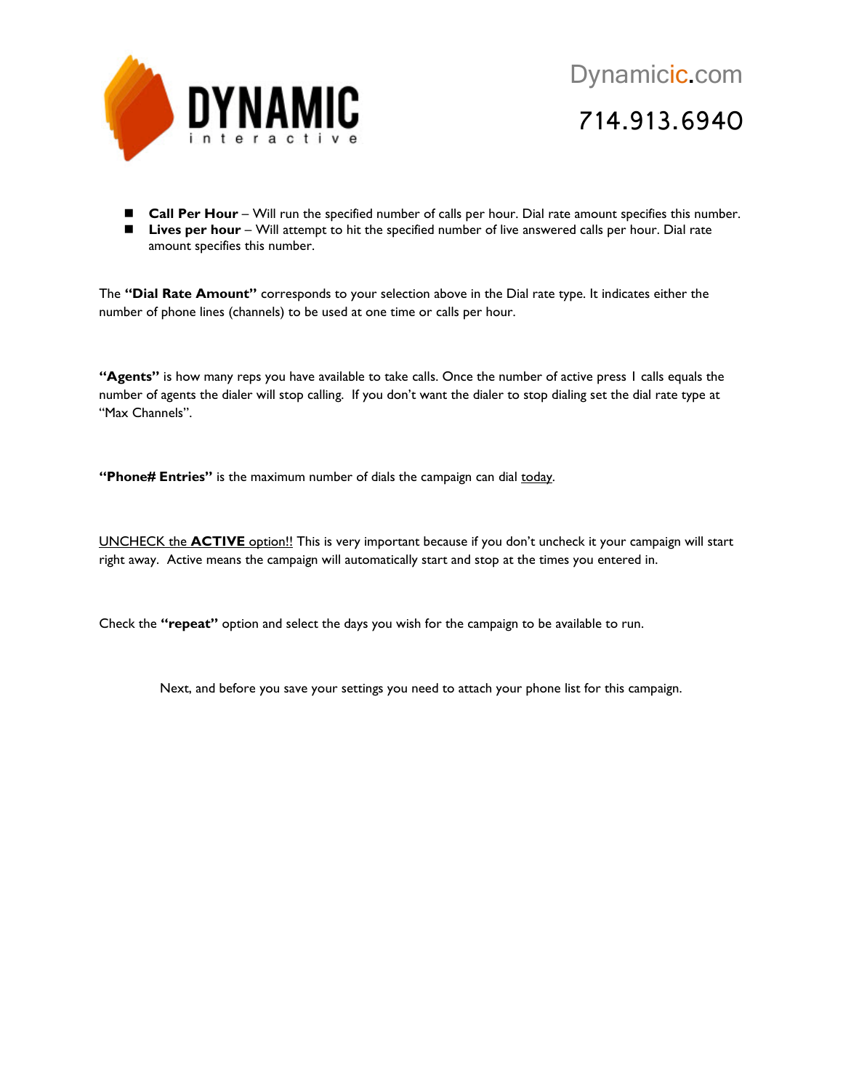

■ **Call Per Hour** – Will run the specified number of calls per hour. Dial rate amount specifies this number. ■ Lives per hour – Will attempt to hit the specified number of live answered calls per hour. Dial rate amount specifies this number.

The **"Dial Rate Amount"** corresponds to your selection above in the Dial rate type. It indicates either the number of phone lines (channels) to be used at one time or calls per hour.

**"Agents"** is how many reps you have available to take calls. Once the number of active press 1 calls equals the number of agents the dialer will stop calling. If you don't want the dialer to stop dialing set the dial rate type at "Max Channels".

**"Phone# Entries"** is the maximum number of dials the campaign can dial today.

UNCHECK the **ACTIVE** option!! This is very important because if you don't uncheck it your campaign will start right away. Active means the campaign will automatically start and stop at the times you entered in.

Check the **"repeat"** option and select the days you wish for the campaign to be available to run.

Next, and before you save your settings you need to attach your phone list for this campaign.